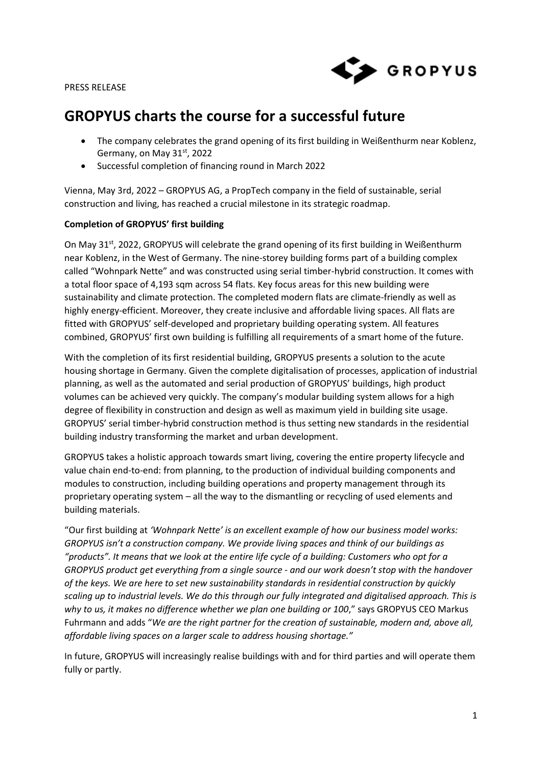PRESS RELEASE



# **GROPYUS charts the course for a successful future**

- The company celebrates the grand opening of its first building in Weißenthurm near Koblenz, Germany, on May 31st, 2022
- Successful completion of financing round in March 2022

Vienna, May 3rd, 2022 – GROPYUS AG, a PropTech company in the field of sustainable, serial construction and living, has reached a crucial milestone in its strategic roadmap.

## **Completion of GROPYUS' first building**

On May  $31^{st}$ , 2022, GROPYUS will celebrate the grand opening of its first building in Weißenthurm near Koblenz, in the West of Germany. The nine-storey building forms part of a building complex called "Wohnpark Nette" and was constructed using serial timber-hybrid construction. It comes with a total floor space of 4,193 sqm across 54 flats. Key focus areas for this new building were sustainability and climate protection. The completed modern flats are climate-friendly as well as highly energy-efficient. Moreover, they create inclusive and affordable living spaces. All flats are fitted with GROPYUS' self-developed and proprietary building operating system. All features combined, GROPYUS' first own building is fulfilling all requirements of a smart home of the future.

With the completion of its first residential building, GROPYUS presents a solution to the acute housing shortage in Germany. Given the complete digitalisation of processes, application of industrial planning, as well as the automated and serial production of GROPYUS' buildings, high product volumes can be achieved very quickly. The company's modular building system allows for a high degree of flexibility in construction and design as well as maximum yield in building site usage. GROPYUS' serial timber-hybrid construction method is thus setting new standards in the residential building industry transforming the market and urban development.

GROPYUS takes a holistic approach towards smart living, covering the entire property lifecycle and value chain end-to-end: from planning, to the production of individual building components and modules to construction, including building operations and property management through its proprietary operating system – all the way to the dismantling or recycling of used elements and building materials.

"Our first building at *'Wohnpark Nette' is an excellent example of how our business model works: GROPYUS isn't a construction company. We provide living spaces and think of our buildings as "products". It means that we look at the entire life cycle of a building: Customers who opt for a GROPYUS product get everything from a single source - and our work doesn't stop with the handover of the keys. We are here to set new sustainability standards in residential construction by quickly scaling up to industrial levels. We do this through our fully integrated and digitalised approach. This is why to us, it makes no difference whether we plan one building or 100*," says GROPYUS CEO Markus Fuhrmann and adds "*We are the right partner for the creation of sustainable, modern and, above all, affordable living spaces on a larger scale to address housing shortage."*

In future, GROPYUS will increasingly realise buildings with and for third parties and will operate them fully or partly.